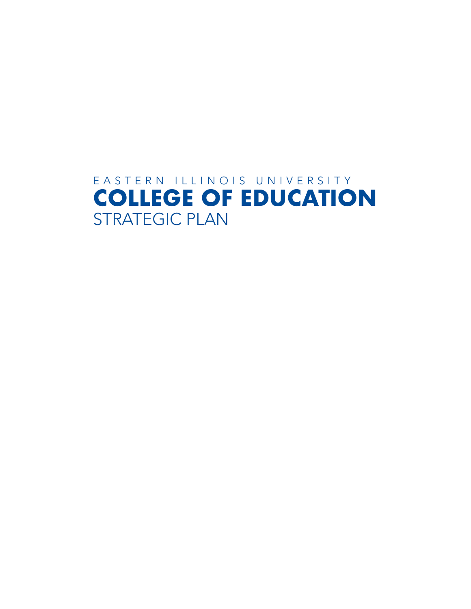# EASTERN ILLINOIS UNIVERSITY **COLLEGE OF EDUCATION** STRATEGIC PLAN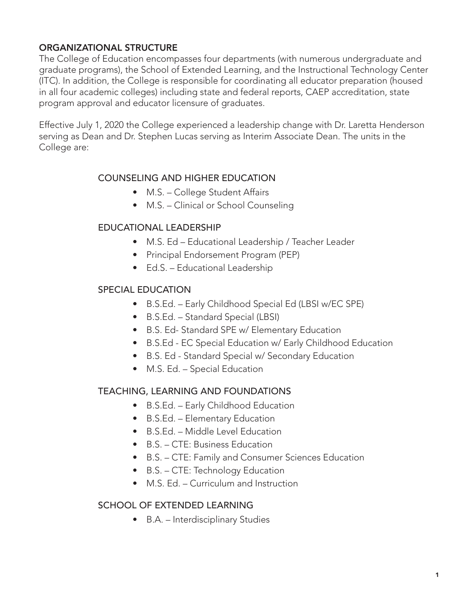# ORGANIZATIONAL STRUCTURE

The College of Education encompasses four departments (with numerous undergraduate and graduate programs), the School of Extended Learning, and the Instructional Technology Center (ITC). In addition, the College is responsible for coordinating all educator preparation (housed in all four academic colleges) including state and federal reports, CAEP accreditation, state program approval and educator licensure of graduates.

Effective July 1, 2020 the College experienced a leadership change with Dr. Laretta Henderson serving as Dean and Dr. Stephen Lucas serving as Interim Associate Dean. The units in the College are:

# COUNSELING AND HIGHER EDUCATION

- M.S. College Student Affairs
- M.S. Clinical or School Counseling

#### EDUCATIONAL LEADERSHIP

- M.S. Ed Educational Leadership / Teacher Leader
- Principal Endorsement Program (PEP)
- Ed.S. Educational Leadership

#### SPECIAL EDUCATION

- B.S.Ed. Early Childhood Special Ed (LBSI w/EC SPE)
- B.S.Ed. Standard Special (LBSI)
- B.S. Ed- Standard SPE w/ Elementary Education
- B.S.Ed EC Special Education w/ Early Childhood Education
- B.S. Ed Standard Special w/ Secondary Education
- M.S. Ed. Special Education

# TEACHING, LEARNING AND FOUNDATIONS

- B.S.Ed. Early Childhood Education
- B.S.Ed. Elementary Education
- B.S.Ed. Middle Level Education
- B.S. CTE: Business Education
- B.S. CTE: Family and Consumer Sciences Education
- B.S. CTE: Technology Education
- M.S. Ed. Curriculum and Instruction

#### SCHOOL OF EXTENDED LEARNING

• B.A. – Interdisciplinary Studies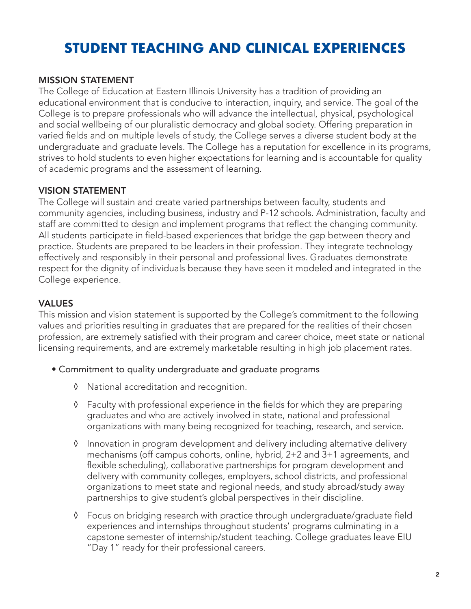# **STUDENT TEACHING AND CLINICAL EXPERIENCES**

# MISSION STATEMENT

The College of Education at Eastern Illinois University has a tradition of providing an educational environment that is conducive to interaction, inquiry, and service. The goal of the College is to prepare professionals who will advance the intellectual, physical, psychological and social wellbeing of our pluralistic democracy and global society. Offering preparation in varied fields and on multiple levels of study, the College serves a diverse student body at the undergraduate and graduate levels. The College has a reputation for excellence in its programs, strives to hold students to even higher expectations for learning and is accountable for quality of academic programs and the assessment of learning.

# VISION STATEMENT

The College will sustain and create varied partnerships between faculty, students and community agencies, including business, industry and P-12 schools. Administration, faculty and staff are committed to design and implement programs that reflect the changing community. All students participate in field-based experiences that bridge the gap between theory and practice. Students are prepared to be leaders in their profession. They integrate technology effectively and responsibly in their personal and professional lives. Graduates demonstrate respect for the dignity of individuals because they have seen it modeled and integrated in the College experience.

# VALUES

This mission and vision statement is supported by the College's commitment to the following values and priorities resulting in graduates that are prepared for the realities of their chosen profession, are extremely satisfied with their program and career choice, meet state or national licensing requirements, and are extremely marketable resulting in high job placement rates.

- Commitment to quality undergraduate and graduate programs
	- ◊ National accreditation and recognition.
	- ◊ Faculty with professional experience in the fields for which they are preparing graduates and who are actively involved in state, national and professional organizations with many being recognized for teaching, research, and service.
	- ◊ Innovation in program development and delivery including alternative delivery mechanisms (off campus cohorts, online, hybrid, 2+2 and 3+1 agreements, and flexible scheduling), collaborative partnerships for program development and delivery with community colleges, employers, school districts, and professional organizations to meet state and regional needs, and study abroad/study away partnerships to give student's global perspectives in their discipline.
	- ◊ Focus on bridging research with practice through undergraduate/graduate field experiences and internships throughout students' programs culminating in a capstone semester of internship/student teaching. College graduates leave EIU "Day 1" ready for their professional careers.